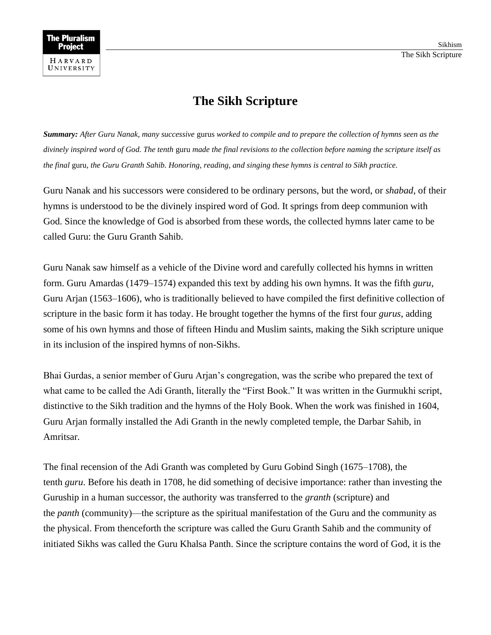## **The Sikh Scripture**

*Summary: After Guru Nanak, many successive* gurus *worked to compile and to prepare the collection of hymns seen as the divinely inspired word of God. The tenth* guru *made the final revisions to the collection before naming the scripture itself as the final* guru*, the Guru Granth Sahib. Honoring, reading, and singing these hymns is central to Sikh practice.*

Guru Nanak and his successors were considered to be ordinary persons, but the word, or *shabad*, of their hymns is understood to be the divinely inspired word of God. It springs from deep communion with God. Since the knowledge of God is absorbed from these words, the collected hymns later came to be called Guru: the Guru Granth Sahib.

Guru Nanak saw himself as a vehicle of the Divine word and carefully collected his hymns in written form. Guru Amardas (1479–1574) expanded this text by adding his own hymns. It was the fifth *guru*, Guru Arjan (1563–1606), who is traditionally believed to have compiled the first definitive collection of scripture in the basic form it has today. He brought together the hymns of the first four *gurus*, adding some of his own hymns and those of fifteen Hindu and Muslim saints, making the Sikh scripture unique in its inclusion of the inspired hymns of non-Sikhs.

Bhai Gurdas, a senior member of Guru Arjan's congregation, was the scribe who prepared the text of what came to be called the Adi Granth, literally the "First Book." It was written in the Gurmukhi script, distinctive to the Sikh tradition and the hymns of the Holy Book. When the work was finished in 1604, Guru Arjan formally installed the Adi Granth in the newly completed temple, the Darbar Sahib, in Amritsar.

The final recension of the Adi Granth was completed by Guru Gobind Singh (1675–1708), the tenth *guru*. Before his death in 1708, he did something of decisive importance: rather than investing the Guruship in a human successor, the authority was transferred to the *granth* (scripture) and the *panth* (community)—the scripture as the spiritual manifestation of the Guru and the community as the physical. From thenceforth the scripture was called the Guru Granth Sahib and the community of initiated Sikhs was called the Guru Khalsa Panth. Since the scripture contains the word of God, it is the